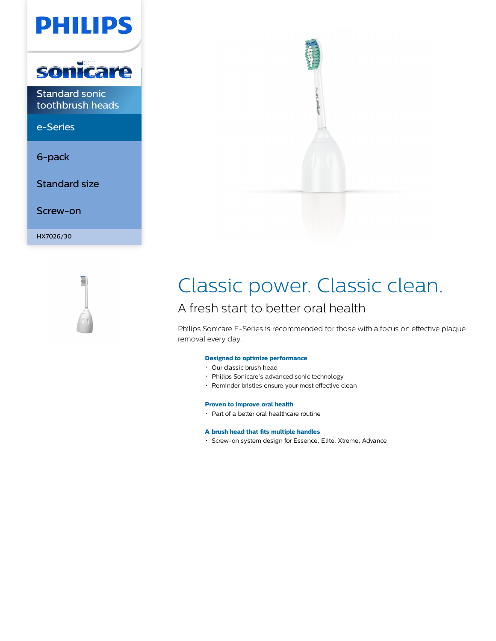



Standard sonic toothbrush heads

e-Series

6-pack

Standard size

Screw-on

HX7026/30



# Classic power. Classic clean.

## A fresh start to better oral health

Philips Sonicare E-Series is recommended for those with a focus on effective plaque removal every day.

### **Designed to optimize performance**

- Our classic brush head
- Philips Sonicare's advanced sonic technology
- Reminder bristles ensure your most effective clean

### **Proven to improve oral health**

Part of a better oral healthcare routine

### **A brush head that fits multiple handles**

Screw-on system design for Essence, Elite, Xtreme, Advance